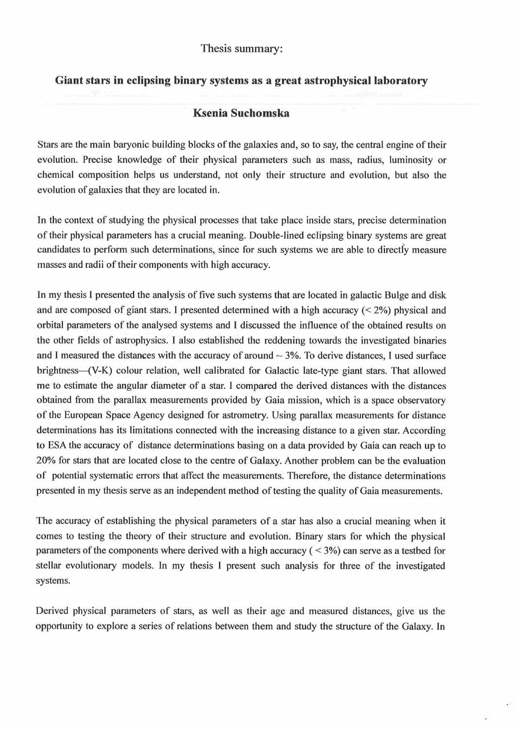## Thesis summary

## Giant stars in eclipsing binary systems as a great astrophysical laboratory

## Ksenia Suchomska

Stars are the main baryonic building blocks of the galaxies and, so to say, the central engine of their evolution. Precise knowledge of their physical parameters such as mass, radius, luminosity or chemical composition helps us understand, not only their structure and evolution, but also the evolution of galaxies that they are located in.

In the context of studying the physical processes that take place inside stars, precise determination oftheir physical parameters has a crucial meaning. Double-lined eclipsing binary systems are great candidates to perform such determinations, since for such systems we are able to directly measure masses and radii of their components with high accuracy.

In my thesis I presented the analysis of five such systems that are located in galactic Bulge and disk and are composed of giant stars. I presented determined with a high accuracy  $(< 2\%)$  physical and orbital parameters of the analysed systems and l discussed the influence of the obtained results on the other fields of astrophysics. I also established the reddening towards the investigated binaries and I measured the distances with the accuracy of around  $\sim$  3%. To derive distances, I used surface brightness--(V-K) colour relation, well calibrated for Galactic late-type giant stars. That allowed me to estimate the angular diameter of a star. l compared the derived distances with the distances obtained from the parallax measurements provided by Gaia mission, which is a space observatory of the European Space Agency designed for astrometry. Using parallax measurements for distance determinations has its limitations connected with the increasing distance to a given star. According to ESA the accuracy of distance determinations basing on a data provided by Gaia can reach up to 20% for stars that are located close to the centre of Galaxy. Another problem can be the evaluation of potential systematic errors that affect the measurements. Therefore, the distance determinations presented in my thesis serve as an independent method of testing the quality of Gaia measurements.

The accuracy of establishing the physical parameters of a star has also a crucial meaning when it comes to testing the theory of their structure and evolution. Binary stars for which the physical parameters of the components where derived with a high accuracy ( $\leq$  3%) can serve as a testbed for stellar evolutionary models. In my thesis l present such analysis for three of the investigated systems.

Derived physical parameters of stars, as well as their age and measured distances, give us the opportunity to explore a series of relations between them and study the structure of the Galaxy. In